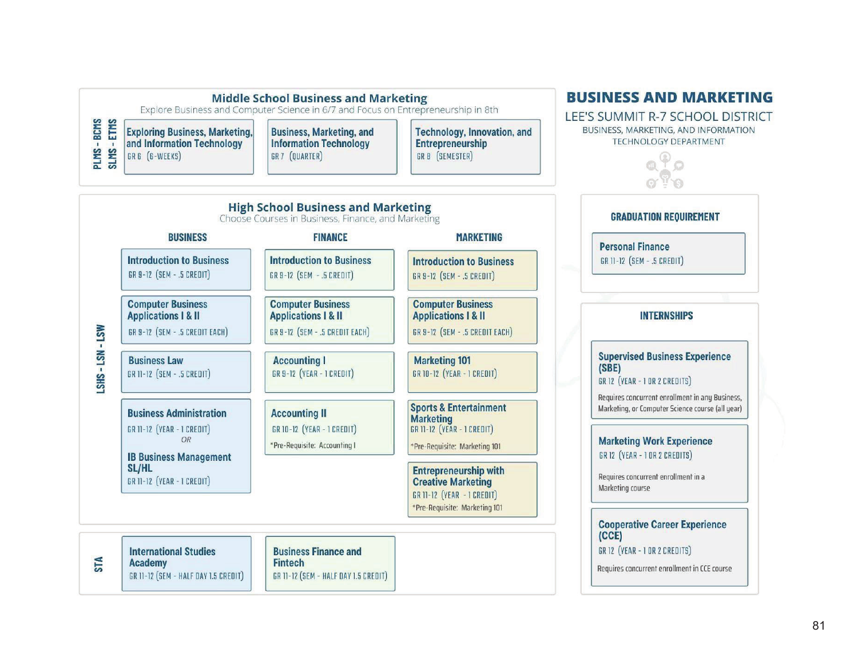

## 81